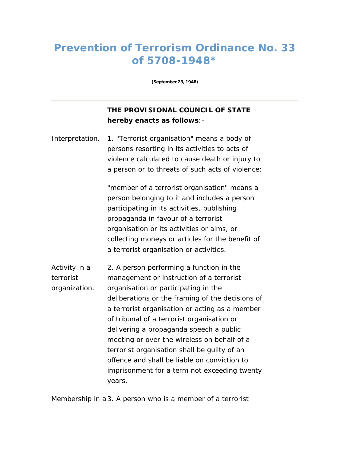## **Prevention of Terrorism Ordinance No. 33 of 5708-1948\***

**(September 23, 1948)** 

## **THE PROVISIONAL COUNCIL OF STATE hereby enacts as follows**:-

*Interpretation.* 1. "Terrorist organisation" means a body of persons resorting in its activities to acts of violence calculated to cause death or injury to a person or to threats of such acts of violence;

> "member of a terrorist organisation" means a person belonging to it and includes a person participating in its activities, publishing propaganda in favour of a terrorist organisation or its activities or aims, or collecting moneys or articles for the benefit of a terrorist organisation or activities.

*Activity in a terrorist organization.* 2. A person performing a function in the management or instruction of a terrorist organisation or participating in the deliberations or the framing of the decisions of a terrorist organisation or acting as a member of tribunal of a terrorist organisation or delivering a propaganda speech a public meeting or over the wireless on behalf of a terrorist organisation shall be guilty of an offence and shall be liable on conviction to imprisonment for a term not exceeding twenty years.

*Membership in a* 3. A person who is a member of a terrorist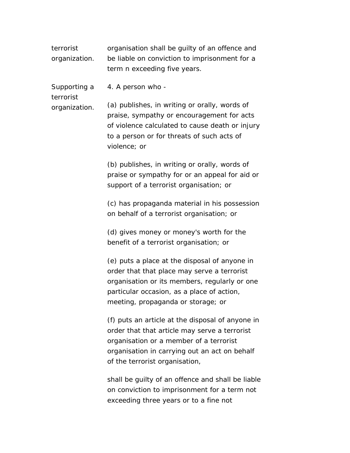*terrorist organization.* organisation shall be guilty of an offence and be liable on conviction to imprisonment for a term n exceeding five years.

*Supporting a*  4. A person who -

*terrorist organization.*

(a) publishes, in writing or orally, words of praise, sympathy or encouragement for acts of violence calculated to cause death or injury to a person or for threats of such acts of violence; or

> (b) publishes, in writing or orally, words of praise or sympathy for or an appeal for aid or support of a terrorist organisation; or

> (c) has propaganda material in his possession on behalf of a terrorist organisation; or

(d) gives money or money's worth for the benefit of a terrorist organisation; or

(e) puts a place at the disposal of anyone in order that that place may serve a terrorist organisation or its members, regularly or one particular occasion, as a place of action, meeting, propaganda or storage; or

(f) puts an article at the disposal of anyone in order that that article may serve a terrorist organisation or a member of a terrorist organisation in carrying out an act on behalf of the terrorist organisation,

shall be guilty of an offence and shall be liable on conviction to imprisonment for a term not exceeding three years or to a fine not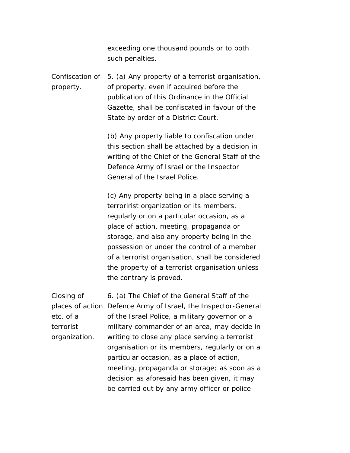exceeding one thousand pounds or to both such penalties.

*Confiscation of*  5. (a) Any property of a terrorist organisation, *property.* of property. even if acquired before the publication of this Ordinance in the Official Gazette, shall be confiscated in favour of the State by order of a District Court.

> (b) Any property liable to confiscation under this section shall be attached by a decision in writing of the Chief of the General Staff of the Defence Army of Israel or the Inspector General of the Israel Police.

> (c) Any property being in a place serving a terroririst organization or its members, regularly or on a particular occasion, as a place of action, meeting, propaganda or storage, and also any property being in the possession or under the control of a member of a terrorist organisation, shall be considered the property of a terrorist organisation unless the contrary is proved.

*Closing of places of action*  Defence Army of Israel, the Inspector-General *etc. of a terrorist organization.* 6. (a) The Chief of the General Staff of the of the Israel Police, a military governor or a military commander of an area, may decide in writing to close any place serving a terrorist organisation or its members, regularly or on a particular occasion, as a place of action, meeting, propaganda or storage; as soon as a decision as aforesaid has been given, it may be carried out by any army officer or police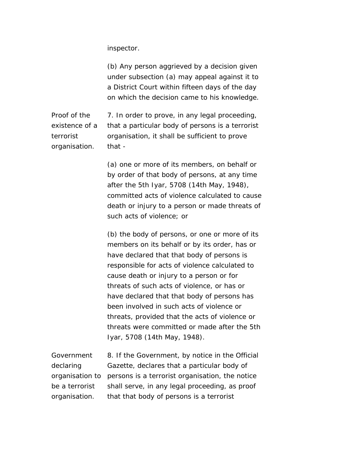inspector.

(b) Any person aggrieved by a decision given under subsection (a) may appeal against it to a District Court within fifteen days of the day on which the decision came to his knowledge.

*Proof of the existence of a terrorist organisation.* 7. In order to prove, in any legal proceeding, that a particular body of persons is a terrorist organisation, it shall be sufficient to prove that -

> (a) one or more of its members, on behalf or by order of that body of persons, at any time after the 5th Iyar, 5708 (14th May, 1948), committed acts of violence calculated to cause death or injury to a person or made threats of such acts of violence; or

> (b) the body of persons, or one or more of its members on its behalf or by its order, has or have declared that that body of persons is responsible for acts of violence calculated to cause death or injury to a person or for threats of such acts of violence, or has or have declared that that body of persons has been involved in such acts of violence or threats, provided that the acts of violence or threats were committed or made after the 5th Iyar, 5708 (14th May, 1948).

*Government declaring organisation to*  persons is a terrorist organisation, the notice *be a terrorist organisation.* 8. If the Government, by notice in the Official Gazette, declares that a particular body of shall serve, in any legal proceeding, as proof that that body of persons is a terrorist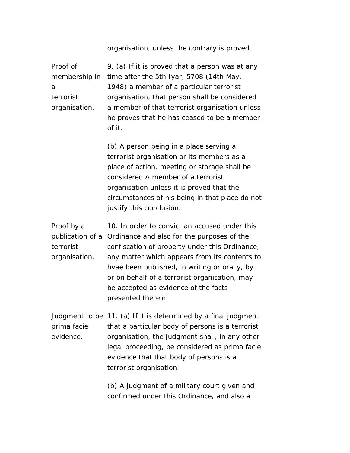## organisation, unless the contrary is proved.

*Proof of membership in*  time after the 5th Iyar, 5708 (14th May, *a terrorist organisation.* 9. (a) If it is proved that a person was at any 1948) a member of a particular terrorist organisation, that person shall be considered a member of that terrorist organisation unless he proves that he has ceased to be a member of it.

> (b) A person being in a place serving a terrorist organisation or its members as a place of action, meeting or storage shall be considered A member of a terrorist organisation unless it is proved that the circumstances of his being in that place do not justify this conclusion.

*Proof by a publication of a*  Ordinance and also for the purposes of the *terrorist organisation.* 10. In order to convict an accused under this confiscation of property under this Ordinance, any matter which appears from its contents to hvae been published, in writing or orally, by or on behalf of a terrorist organisation, may be accepted as evidence of the facts presented therein.

*Judgment to be*  11. (a) If it is determined by a final judgment *prima facie evidence.* that a particular body of persons is a terrorist organisation, the judgment shall, in any other legal proceeding, be considered as prima facie evidence that that body of persons is a terrorist organisation.

> (b) A judgment of a military court given and confirmed under this Ordinance, and also a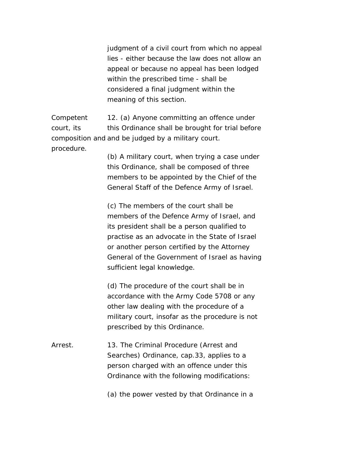judgment of a civil court from which no appeal lies - either because the law does not allow an appeal or because no appeal has been lodged within the prescribed time - shall be considered a final judgment within the meaning of this section.

*Competent court, its composition and* and be judged by a military court. *procedure.*  12. (a) Anyone committing an offence under this Ordinance shall be brought for trial before

> (b) A military court, when trying a case under this Ordinance, shall be composed of three members to be appointed by the Chief of the General Staff of the Defence Army of Israel.

(c) The members of the court shall be members of the Defence Army of Israel, and its president shall be a person qualified to practise as an advocate in the State of Israel or another person certified by the Attorney General of the Government of Israel as having sufficient legal knowledge.

(d) The procedure of the court shall be in accordance with the Army Code 5708 or any other law dealing with the procedure of a military court, insofar as the procedure is not prescribed by this Ordinance.

*Arrest.* 13. The Criminal Procedure (Arrest and Searches) Ordinance, cap.33, applies to a person charged with an offence under this Ordinance with the following modifications:

(a) the power vested by that Ordinance in a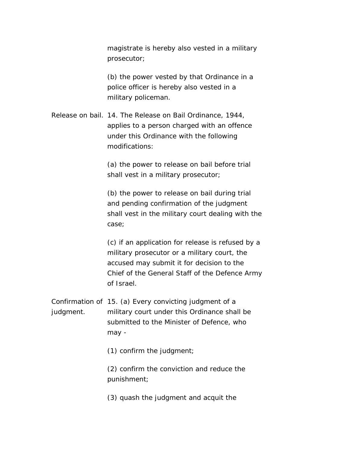magistrate is hereby also vested in a military prosecutor;

(b) the power vested by that Ordinance in a police officer is hereby also vested in a military policeman.

*Release on bail.* 14. The Release on Bail Ordinance, 1944, applies to a person charged with an offence under this Ordinance with the following modifications:

> (a) the power to release on bail before trial shall vest in a military prosecutor;

(b) the power to release on bail during trial and pending confirmation of the judgment shall vest in the military court dealing with the case;

(c) if an application for release is refused by a military prosecutor or a military court, the accused may submit it for decision to the Chief of the General Staff of the Defence Army of Israel.

*Confirmation of*  15. (a) Every convicting judgment of a *judgment.* military court under this Ordinance shall be submitted to the Minister of Defence, who may -

(1) confirm the judgment;

(2) confirm the conviction and reduce the punishment;

(3) quash the judgment and acquit the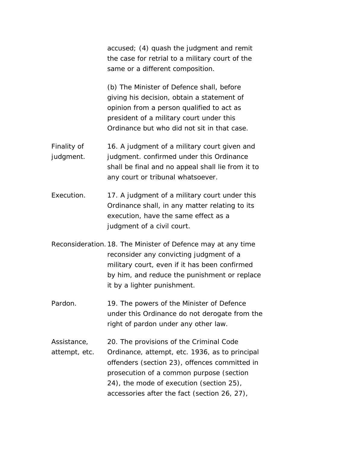accused; (4) quash the judgment and remit the case for retrial to a military court of the same or a different composition.

(b) The Minister of Defence shall, before giving his decision, obtain a statement of opinion from a person qualified to act as president of a military court under this Ordinance but who did not sit in that case.

- *Finality of judgment.* 16. A judgment of a military court given and judgment. confirmed under this Ordinance shall be final and no appeal shall lie from it to any court or tribunal whatsoever.
- *Execution.* 17. A judgment of a military court under this Ordinance shall, in any matter relating to its execution, have the same effect as a judgment of a civil court.
- *Reconsideration.*18. The Minister of Defence may at any time reconsider any convicting judgment of a military court, even if it has been confirmed by him, and reduce the punishment or replace it by a lighter punishment.
- *Pardon.* 19. The powers of the Minister of Defence under this Ordinance do not derogate from the right of pardon under any other law.
- *Assistance, attempt, etc.*  20. The provisions of the Criminal Code Ordinance, attempt, etc. 1936, as to principal offenders (section 23), offences committed in prosecution of a common purpose (section 24), the mode of execution (section 25), accessories after the fact (section 26, 27),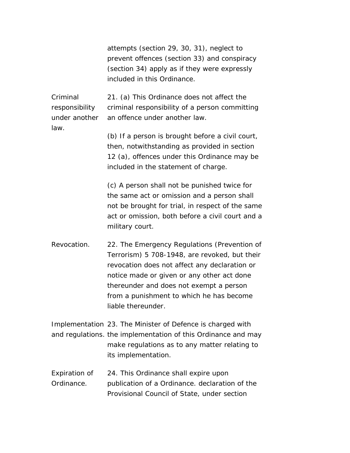attempts (section 29, 30, 31), neglect to prevent offences (section 33) and conspiracy (section 34) apply as if they were expressly included in this Ordinance.

*Criminal responsibility under another law.* 

21. (a) This Ordinance does not affect the criminal responsibility of a person committing an offence under another law.

(b) If a person is brought before a civil court, then, notwithstanding as provided in section 12 (a), offences under this Ordinance may be included in the statement of charge.

(c) A person shall not be punished twice for the same act or omission and a person shall not be brought for trial, in respect of the same act or omission, both before a civil court and a military court.

*Revocation.* 22. The Emergency Regulations (Prevention of Terrorism) 5 708-1948, are revoked, but their revocation does not affect any declaration or notice made or given or any other act done thereunder and does not exempt a person from a punishment to which he has become liable thereunder.

*Implementation*  23. The Minister of Defence is charged with and regulations. the implementation of this Ordinance and may make regulations as to any matter relating to its implementation.

*Expiration of Ordinance.*  24. This Ordinance shall expire upon publication of a Ordinance. declaration of the Provisional Council of State, under section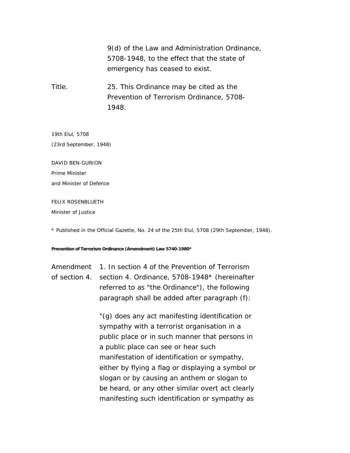9(d) of the Law and Administration Ordinance, 5708-1948, to the effect that the state of emergency has ceased to exist.

*Title.* 25. This Ordinance may be cited as the Prevention of Terrorism Ordinance, 5708- 1948.

19th Elul, 5708

(23rd September, 1948)

DAVID BEN-GURION

Prime Minister

and Minister of Defence

FELIX ROSENBLUETH

Minister of Justice

\* Published in the Official Gazette, No. 24 of the 25th Elul, 5708 (29th September, 1948).

**Prevention of Terrorism Ordinance (Amendment) Law 5740-1980\*** 

*Amendment*  1. In section 4 of the Prevention of Terrorism *of section 4.* section 4. Ordinance, 5708-1948\* (hereinafter referred to as "the Ordinance"), the following paragraph shall be added after paragraph (f):

> "(g) does any act manifesting identification or sympathy with a terrorist organisation in a public place or in such manner that persons in a public place can see or hear such manifestation of identification or sympathy, either by flying a flag or displaying a symbol or slogan or by causing an anthem or slogan to be heard, or any other similar overt act clearly manifesting such identification or sympathy as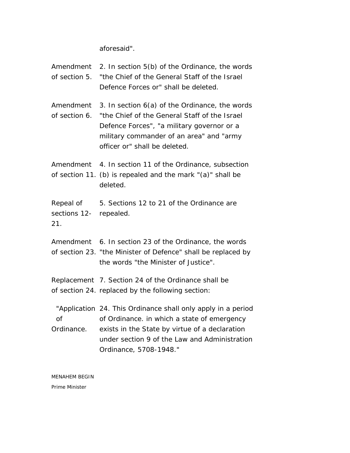aforesaid".

| of section 5.                 | <i>Amendment</i> 2. In section 5(b) of the Ordinance, the words<br>"the Chief of the General Staff of the Israel<br>Defence Forces or" shall be deleted.                                                                                    |
|-------------------------------|---------------------------------------------------------------------------------------------------------------------------------------------------------------------------------------------------------------------------------------------|
| Amendment<br>of section 6.    | 3. In section 6(a) of the Ordinance, the words<br>"the Chief of the General Staff of the Israel<br>Defence Forces", "a military governor or a<br>military commander of an area" and "army<br>officer or" shall be deleted.                  |
|                               | Amendment 4. In section 11 of the Ordinance, subsection<br>of section 11. (b) is repealed and the mark "(a)" shall be<br>deleted.                                                                                                           |
| sections 12- repealed.<br>21. | Repeal of 5. Sections 12 to 21 of the Ordinance are                                                                                                                                                                                         |
|                               | Amendment 6. In section 23 of the Ordinance, the words<br>of section 23. "the Minister of Defence" shall be replaced by<br>the words "the Minister of Justice".                                                                             |
|                               | Replacement 7. Section 24 of the Ordinance shall be<br>of section 24. replaced by the following section:                                                                                                                                    |
| Ordinance.                    | "Application 24. This Ordinance shall only apply in a period<br>of of Ordinance. in which a state of emergency<br>exists in the State by virtue of a declaration<br>under section 9 of the Law and Administration<br>Ordinance, 5708-1948." |

MENAHEM BEGIN Prime Minister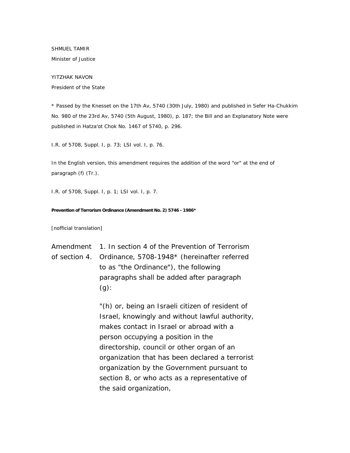SHMUEL TAMIR Minister of Justice

YITZHAK NAVON President of the State

\* Passed by the Knesset on the 17th Av, 5740 (30th July, 1980) and published in Sefer Ha-Chukkim No. 980 of the 23rd Av, 5740 (5th August, 1980), p. 187; the Bill and an Explanatory Note were published in Hatza'ot Chok No. 1467 of 5740, p. 296.

I.R. of 5708, Suppl. I, p. 73; LSI vol. I, p. 76.

In the English version, this amendment requires the addition of the word "or" at the end of paragraph (f) (Tr.).

I.R. of 5708, Suppl. I, p. 1; LSI vol. I, p. 7.

## **Prevention of Terrorism Ordinance (Amendment No. 2) 5746 - 1986\***

[nofficial translation]

*Amendment*  1. In section 4 of the Prevention of Terrorism *of section 4.* Ordinance, 5708-1948\* (hereinafter referred to as "the Ordinance"), the following paragraphs shall be added after paragraph  $(q)$ :

> "(h) or, being an Israeli citizen of resident of Israel, knowingly and without lawful authority, makes contact in Israel or abroad with a person occupying a position in the directorship, council or other organ of an organization that has been declared a terrorist organization by the Government pursuant to section 8, or who acts as a representative of the said organization,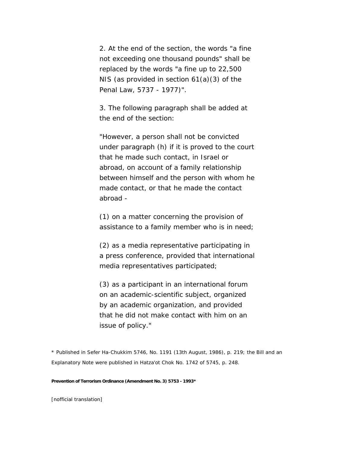2. At the end of the section, the words "a fine not exceeding one thousand pounds" shall be replaced by the words "a fine up to 22,500 NIS (as provided in section 61(a)(3) of the Penal Law, 5737 - 1977)".

3. The following paragraph shall be added at the end of the section:

"However, a person shall not be convicted under paragraph (h) if it is proved to the court that he made such contact, in Israel or abroad, on account of a family relationship between himself and the person with whom he made contact, or that he made the contact abroad -

(1) on a matter concerning the provision of assistance to a family member who is in need;

(2) as a media representative participating in a press conference, provided that international media representatives participated;

(3) as a participant in an international forum on an academic-scientific subject, organized by an academic organization, and provided that he did not make contact with him on an issue of policy."

\* Published in Sefer Ha-Chukkim 5746, No. 1191 (13th August, 1986), p. 219; the Bill and an Explanatory Note were published in Hatza'ot Chok No. 1742 of 5745, p. 248.

**Prevention of Terrorism Ordinance (Amendment No. 3) 5753 - 1993\*** 

[nofficial translation]